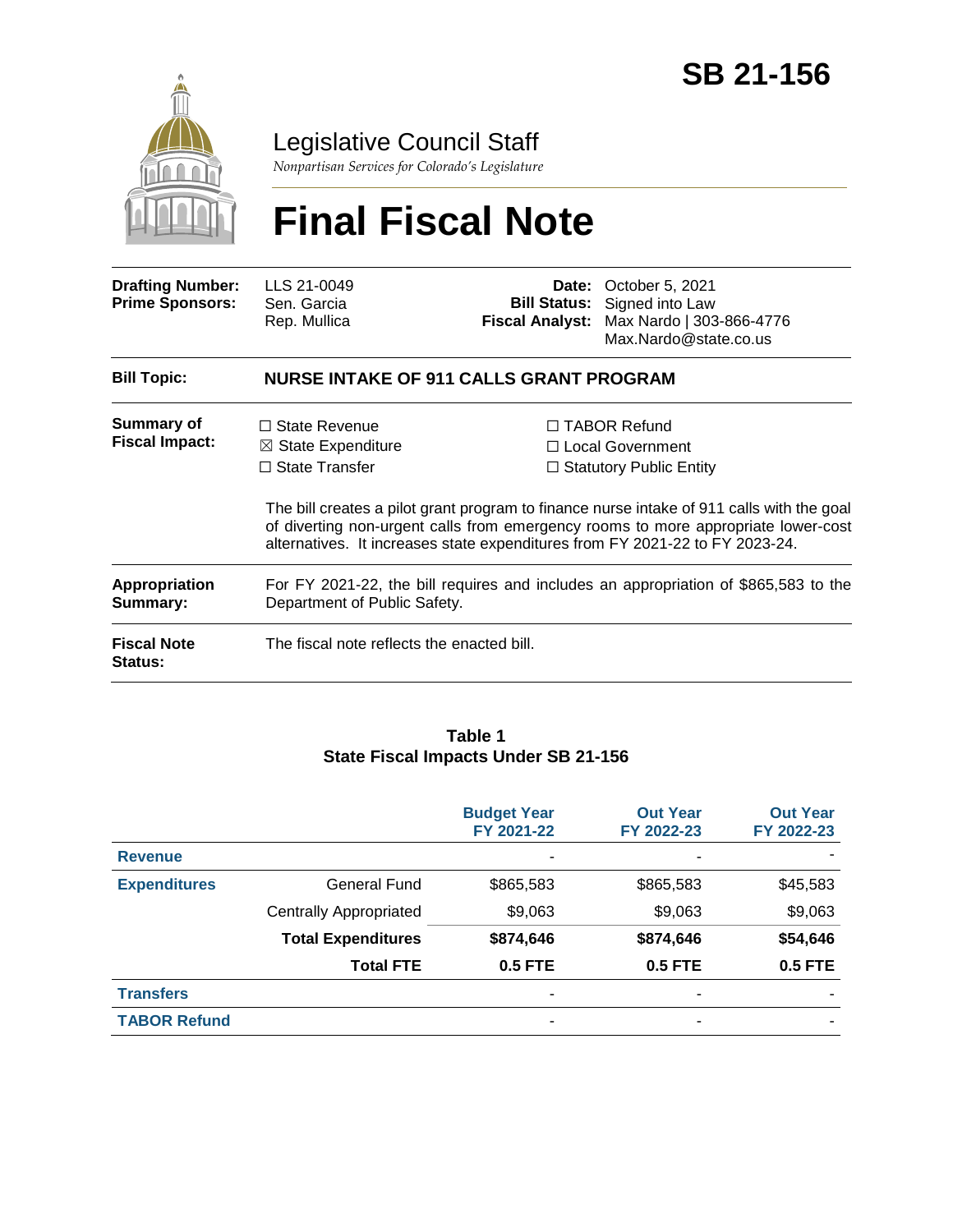

# Legislative Council Staff

*Nonpartisan Services for Colorado's Legislature*

# **Final Fiscal Note**

| <b>Drafting Number:</b><br><b>Prime Sponsors:</b> | LLS 21-0049<br>Sen. Garcia<br>Rep. Mullica                                                                          |  | Date: October 5, 2021<br><b>Bill Status:</b> Signed into Law<br>Fiscal Analyst: Max Nardo   303-866-4776<br>Max.Nardo@state.co.us                                                                                                                                                                                                             |  |  |  |  |
|---------------------------------------------------|---------------------------------------------------------------------------------------------------------------------|--|-----------------------------------------------------------------------------------------------------------------------------------------------------------------------------------------------------------------------------------------------------------------------------------------------------------------------------------------------|--|--|--|--|
| <b>Bill Topic:</b>                                | <b>NURSE INTAKE OF 911 CALLS GRANT PROGRAM</b>                                                                      |  |                                                                                                                                                                                                                                                                                                                                               |  |  |  |  |
| Summary of<br><b>Fiscal Impact:</b>               | $\Box$ State Revenue<br>$\boxtimes$ State Expenditure<br>$\Box$ State Transfer                                      |  | $\Box$ TABOR Refund<br>□ Local Government<br>$\Box$ Statutory Public Entity<br>The bill creates a pilot grant program to finance nurse intake of 911 calls with the goal<br>of diverting non-urgent calls from emergency rooms to more appropriate lower-cost<br>alternatives. It increases state expenditures from FY 2021-22 to FY 2023-24. |  |  |  |  |
| <b>Appropriation</b><br>Summary:                  | For FY 2021-22, the bill requires and includes an appropriation of \$865,583 to the<br>Department of Public Safety. |  |                                                                                                                                                                                                                                                                                                                                               |  |  |  |  |
| <b>Fiscal Note</b><br><b>Status:</b>              | The fiscal note reflects the enacted bill.                                                                          |  |                                                                                                                                                                                                                                                                                                                                               |  |  |  |  |

#### **Table 1 State Fiscal Impacts Under SB 21-156**

|                     |                               | <b>Budget Year</b><br>FY 2021-22 | <b>Out Year</b><br>FY 2022-23 | <b>Out Year</b><br>FY 2022-23 |
|---------------------|-------------------------------|----------------------------------|-------------------------------|-------------------------------|
| <b>Revenue</b>      |                               |                                  |                               |                               |
| <b>Expenditures</b> | <b>General Fund</b>           | \$865,583                        | \$865,583                     | \$45,583                      |
|                     | <b>Centrally Appropriated</b> | \$9,063                          | \$9,063                       | \$9,063                       |
|                     | <b>Total Expenditures</b>     | \$874,646                        | \$874,646                     | \$54,646                      |
|                     | <b>Total FTE</b>              | <b>0.5 FTE</b>                   | <b>0.5 FTE</b>                | <b>0.5 FTE</b>                |
| <b>Transfers</b>    |                               | ۰                                | ٠                             |                               |
| <b>TABOR Refund</b> |                               |                                  | ۰                             |                               |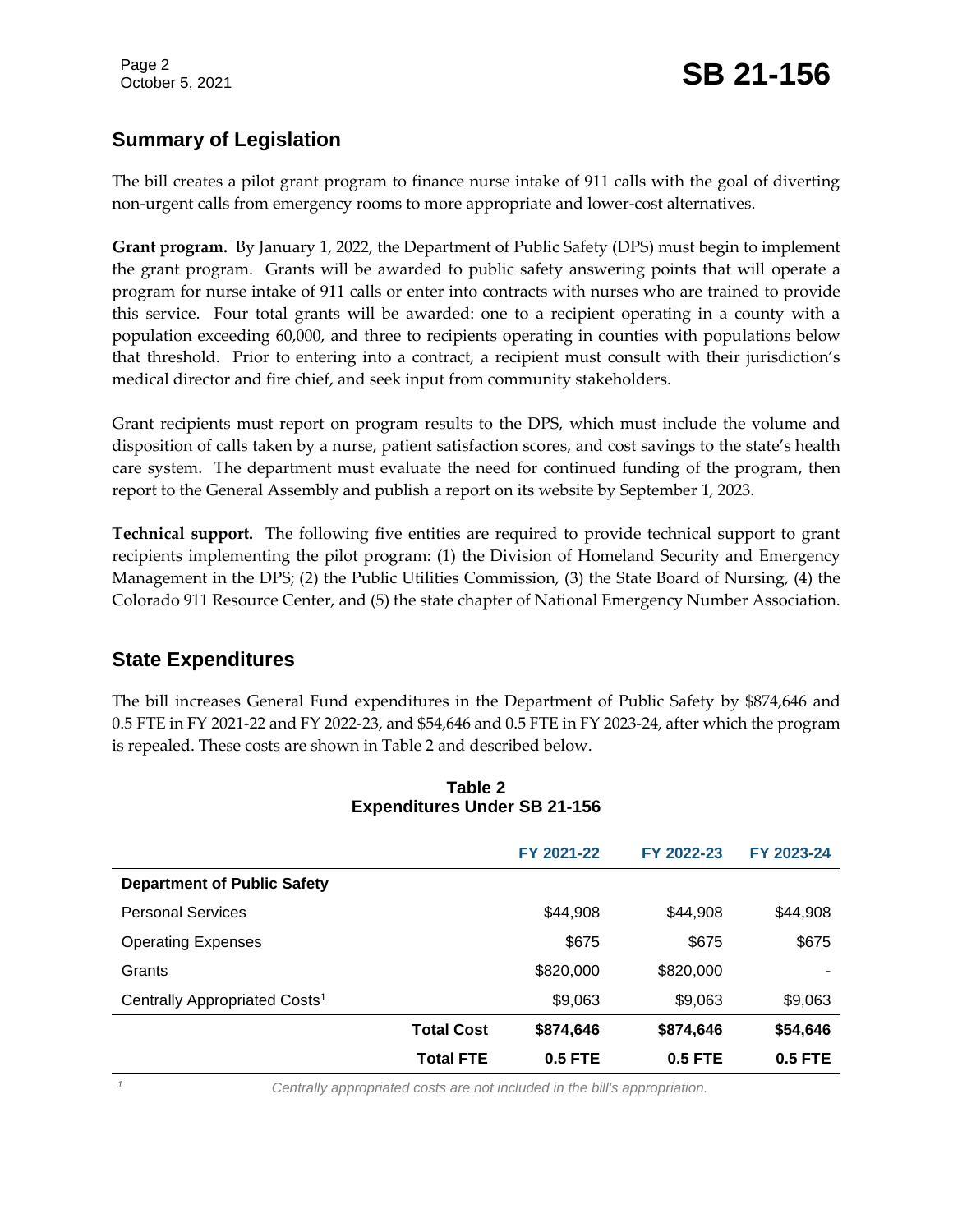## **Summary of Legislation**

The bill creates a pilot grant program to finance nurse intake of 911 calls with the goal of diverting non-urgent calls from emergency rooms to more appropriate and lower-cost alternatives.

**Grant program.** By January 1, 2022, the Department of Public Safety (DPS) must begin to implement the grant program. Grants will be awarded to public safety answering points that will operate a program for nurse intake of 911 calls or enter into contracts with nurses who are trained to provide this service. Four total grants will be awarded: one to a recipient operating in a county with a population exceeding 60,000, and three to recipients operating in counties with populations below that threshold. Prior to entering into a contract, a recipient must consult with their jurisdiction's medical director and fire chief, and seek input from community stakeholders.

Grant recipients must report on program results to the DPS, which must include the volume and disposition of calls taken by a nurse, patient satisfaction scores, and cost savings to the state's health care system. The department must evaluate the need for continued funding of the program, then report to the General Assembly and publish a report on its website by September 1, 2023.

**Technical support.** The following five entities are required to provide technical support to grant recipients implementing the pilot program: (1) the Division of Homeland Security and Emergency Management in the DPS; (2) the Public Utilities Commission, (3) the State Board of Nursing, (4) the Colorado 911 Resource Center, and (5) the state chapter of National Emergency Number Association.

### **State Expenditures**

The bill increases General Fund expenditures in the Department of Public Safety by \$874,646 and 0.5 FTE in FY 2021-22 and FY 2022-23, and \$54,646 and 0.5 FTE in FY 2023-24, after which the program is repealed. These costs are shown in Table 2 and described below.

|                                           |                   | FY 2021-22 | FY 2022-23 | FY 2023-24 |
|-------------------------------------------|-------------------|------------|------------|------------|
| <b>Department of Public Safety</b>        |                   |            |            |            |
| <b>Personal Services</b>                  |                   | \$44,908   | \$44,908   | \$44,908   |
| <b>Operating Expenses</b>                 |                   | \$675      | \$675      | \$675      |
| Grants                                    |                   | \$820,000  | \$820,000  |            |
| Centrally Appropriated Costs <sup>1</sup> |                   | \$9,063    | \$9,063    | \$9,063    |
|                                           | <b>Total Cost</b> | \$874,646  | \$874,646  | \$54,646   |
|                                           | <b>Total FTE</b>  | $0.5$ FTE  | $0.5$ FTE  | $0.5$ FTE  |

#### **Table 2 Expenditures Under SB 21-156**

*<sup>1</sup> Centrally appropriated costs are not included in the bill's appropriation.*